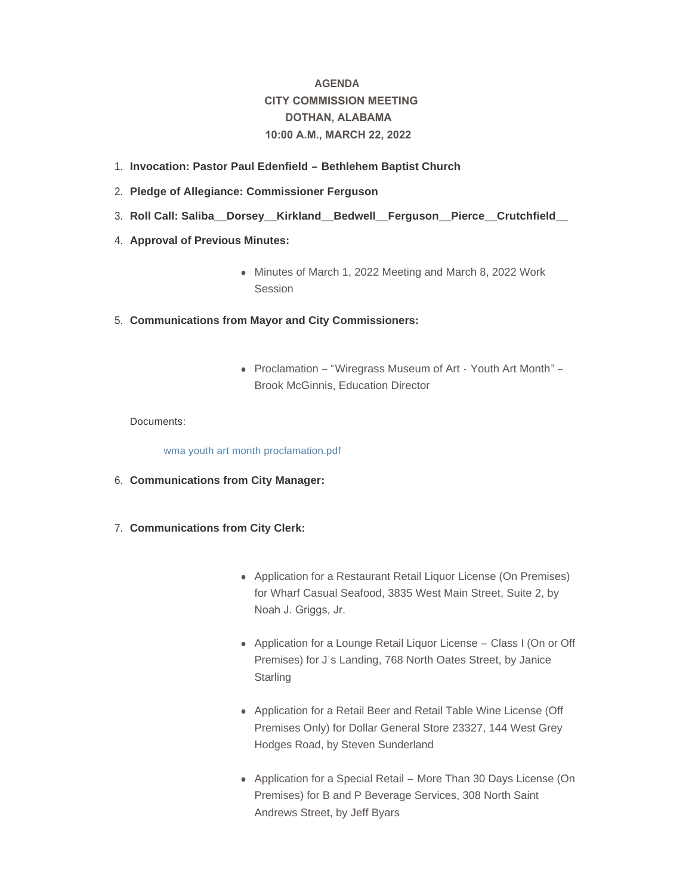# **AGENDA CITY COMMISSION MEETING DOTHAN, ALABAMA 10:00 A.M., MARCH 22, 2022**

- **Invocation: Pastor Paul Edenfield – Bethlehem Baptist Church**  1.
- **Pledge of Allegiance: Commissioner Ferguson** 2.
- **Roll Call: Saliba\_\_Dorsey\_\_Kirkland\_\_Bedwell\_\_Ferguson\_\_Pierce\_\_Crutchfield\_\_**  3.
- 4. **Approval of Previous Minutes:** 
	- Minutes of March 1, 2022 Meeting and March 8, 2022 Work **Session**
- **Communications from Mayor and City Commissioners:** 5.
	- Proclamation "Wiregrass Museum of Art Youth Art Month" Brook McGinnis, Education Director

# Documents:

[wma youth art month proclamation.pdf](http://www.dothan.org/AgendaCenter/ViewFile/Item/7669?fileID=12147)

- **Communications from City Manager:** 6.
- **Communications from City Clerk:** 7.
	- Application for a Restaurant Retail Liquor License (On Premises) for Wharf Casual Seafood, 3835 West Main Street, Suite 2, by Noah J. Griggs, Jr.
	- Application for a Lounge Retail Liquor License Class I (On or Off Premises) for J's Landing, 768 North Oates Street, by Janice **Starling**
	- Application for a Retail Beer and Retail Table Wine License (Off Premises Only) for Dollar General Store 23327, 144 West Grey Hodges Road, by Steven Sunderland
	- Application for a Special Retail More Than 30 Days License (On Premises) for B and P Beverage Services, 308 North Saint Andrews Street, by Jeff Byars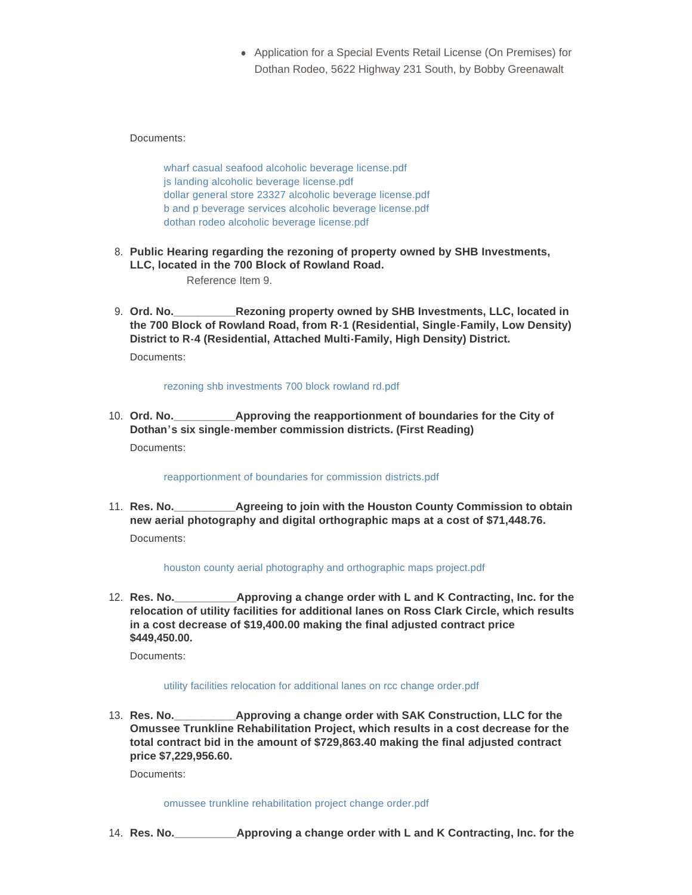• Application for a Special Events Retail License (On Premises) for Dothan Rodeo, 5622 Highway 231 South, by Bobby Greenawalt

Documents:

[wharf casual seafood alcoholic beverage license.pdf](http://www.dothan.org/AgendaCenter/ViewFile/Item/7671?fileID=12148) [js landing alcoholic beverage license.pdf](http://www.dothan.org/AgendaCenter/ViewFile/Item/7671?fileID=12149) [dollar general store 23327 alcoholic beverage license.pdf](http://www.dothan.org/AgendaCenter/ViewFile/Item/7671?fileID=12150) [b and p beverage services alcoholic beverage license.pdf](http://www.dothan.org/AgendaCenter/ViewFile/Item/7671?fileID=12151) [dothan rodeo alcoholic beverage license.pdf](http://www.dothan.org/AgendaCenter/ViewFile/Item/7671?fileID=12152)

**Public Hearing regarding the rezoning of property owned by SHB Investments,**  8. **LLC, located in the 700 Block of Rowland Road.** 

Reference Item 9.

**CREAD. Rezoning property owned by SHB Investments, LLC, located in the 700 Block of Rowland Road, from R-1 (Residential, Single-Family, Low Density) District to R-4 (Residential, Attached Multi-Family, High Density) District.** 9. Ord. No. Documents:

[rezoning shb investments 700 block rowland rd.pdf](http://www.dothan.org/AgendaCenter/ViewFile/Item/7640?fileID=12122)

**Approving the reapportionment of boundaries for the City of Dothan's six single-member commission districts. (First Reading)** 10. Ord. No. Documents:

[reapportionment of boundaries for commission districts.pdf](http://www.dothan.org/AgendaCenter/ViewFile/Item/7641?fileID=12123)

**Agreeing to join with the Houston County Commission to obtain new aerial photography and digital orthographic maps at a cost of \$71,448.76.** 11. **Res. No.** Documents:

[houston county aerial photography and orthographic maps project.pdf](http://www.dothan.org/AgendaCenter/ViewFile/Item/7642?fileID=12124)

**Approving a change order with L and K Contracting, Inc. for the relocation of utility facilities for additional lanes on Ross Clark Circle, which results in a cost decrease of \$19,400.00 making the final adjusted contract price \$449,450.00.** 12. Res. No.

Documents:

# [utility facilities relocation for additional lanes on rcc change order.pdf](http://www.dothan.org/AgendaCenter/ViewFile/Item/7643?fileID=12125)

**Approving a change order with SAK Construction, LLC for the Omussee Trunkline Rehabilitation Project, which results in a cost decrease for the total contract bid in the amount of \$729,863.40 making the final adjusted contract price \$7,229,956.60.** 13. Res. No.

Documents:

[omussee trunkline rehabilitation project change order.pdf](http://www.dothan.org/AgendaCenter/ViewFile/Item/7644?fileID=12126)

**Res. No.\_\_\_\_\_\_\_\_\_\_Approving a change order with L and K Contracting, Inc. for the**  14.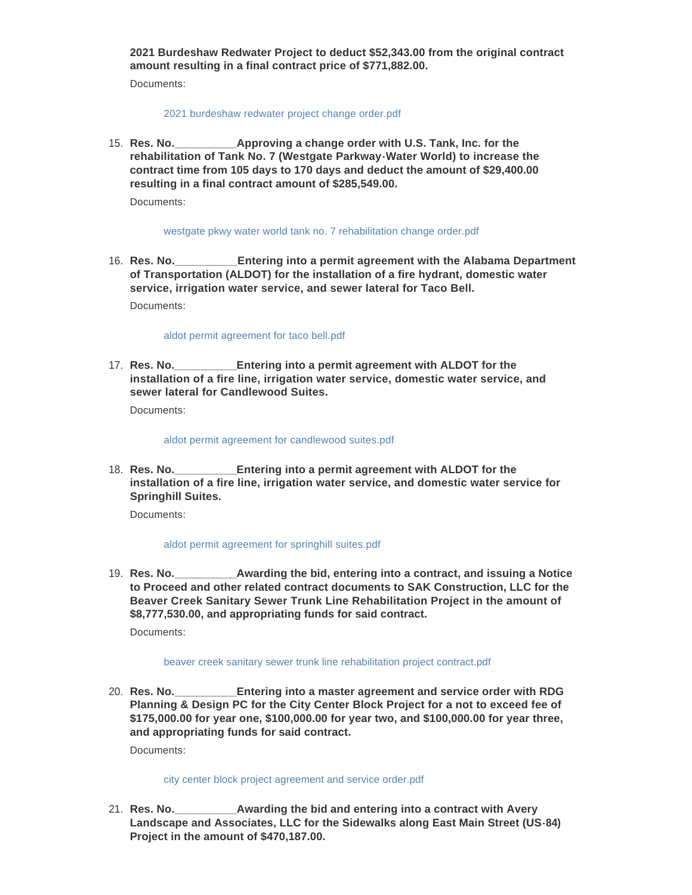**2021 Burdeshaw Redwater Project to deduct \$52,343.00 from the original contract amount resulting in a final contract price of \$771,882.00.**

Documents:

#### [2021 burdeshaw redwater project change order.pdf](http://www.dothan.org/AgendaCenter/ViewFile/Item/7645?fileID=12127)

Approving a change order with U.S. Tank, Inc. for the **rehabilitation of Tank No. 7 (Westgate Parkway-Water World) to increase the contract time from 105 days to 170 days and deduct the amount of \$29,400.00 resulting in a final contract amount of \$285,549.00.** 15. Res. No.

Documents:

# [westgate pkwy water world tank no. 7 rehabilitation change order.pdf](http://www.dothan.org/AgendaCenter/ViewFile/Item/7646?fileID=12128)

**\_Entering into a permit agreement with the Alabama Department of Transportation (ALDOT) for the installation of a fire hydrant, domestic water service, irrigation water service, and sewer lateral for Taco Bell.** 16. Res. No.

Documents:

# [aldot permit agreement for taco bell.pdf](http://www.dothan.org/AgendaCenter/ViewFile/Item/7647?fileID=12129)

**Entering into a permit agreement with ALDOT for the installation of a fire line, irrigation water service, domestic water service, and sewer lateral for Candlewood Suites.** 17. **Res. No.** 

Documents:

#### [aldot permit agreement for candlewood suites.pdf](http://www.dothan.org/AgendaCenter/ViewFile/Item/7648?fileID=12130)

**Entering into a permit agreement with ALDOT for the installation of a fire line, irrigation water service, and domestic water service for Springhill Suites.** 18. **Res. No.** 

Documents:

# [aldot permit agreement for springhill suites.pdf](http://www.dothan.org/AgendaCenter/ViewFile/Item/7649?fileID=12131)

**Awarding the bid, entering into a contract, and issuing a Notice to Proceed and other related contract documents to SAK Construction, LLC for the Beaver Creek Sanitary Sewer Trunk Line Rehabilitation Project in the amount of \$8,777,530.00, and appropriating funds for said contract.** 19. **Res. No.** 

Documents:

# [beaver creek sanitary sewer trunk line rehabilitation project contract.pdf](http://www.dothan.org/AgendaCenter/ViewFile/Item/7650?fileID=12132)

**Entering into a master agreement and service order with RDG Planning & Design PC for the City Center Block Project for a not to exceed fee of \$175,000.00 for year one, \$100,000.00 for year two, and \$100,000.00 for year three, and appropriating funds for said contract.** 20. Res. No.

Documents:

# [city center block project agreement and service order.pdf](http://www.dothan.org/AgendaCenter/ViewFile/Item/7651?fileID=12133)

**Awarding the bid and entering into a contract with Avery Landscape and Associates, LLC for the Sidewalks along East Main Street (US-84) Project in the amount of \$470,187.00.** 21. Res. No.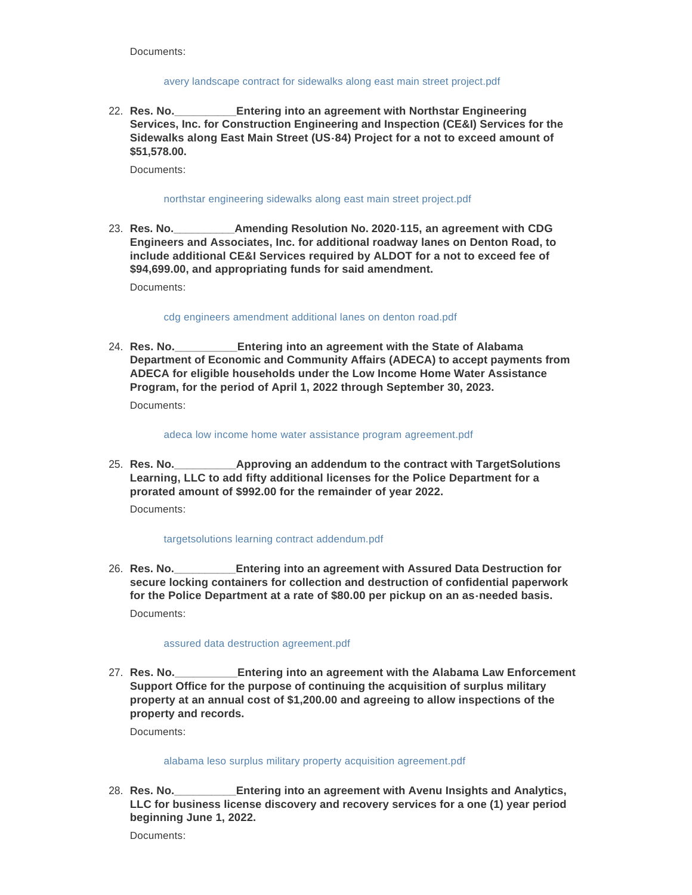Documents:

### [avery landscape contract for sidewalks along east main street project.pdf](http://www.dothan.org/AgendaCenter/ViewFile/Item/7652?fileID=12134)

**Entering into an agreement with Northstar Engineering Services, Inc. for Construction Engineering and Inspection (CE&I) Services for the Sidewalks along East Main Street (US-84) Project for a not to exceed amount of \$51,578.00.** 22. Res. No.

Documents:

### [northstar engineering sidewalks along east main street project.pdf](http://www.dothan.org/AgendaCenter/ViewFile/Item/7653?fileID=12135)

**Amending Resolution No. 2020-115, an agreement with CDG Engineers and Associates, Inc. for additional roadway lanes on Denton Road, to include additional CE&I Services required by ALDOT for a not to exceed fee of \$94,699.00, and appropriating funds for said amendment.** 23. Res. No.

Documents:

## [cdg engineers amendment additional lanes on denton road.pdf](http://www.dothan.org/AgendaCenter/ViewFile/Item/7654?fileID=12136)

**Entering into an agreement with the State of Alabama Department of Economic and Community Affairs (ADECA) to accept payments from ADECA for eligible households under the Low Income Home Water Assistance Program, for the period of April 1, 2022 through September 30, 2023.** 24. Res. No.

Documents:

#### [adeca low income home water assistance program agreement.pdf](http://www.dothan.org/AgendaCenter/ViewFile/Item/7655?fileID=12137)

**Approving an addendum to the contract with TargetSolutions Learning, LLC to add fifty additional licenses for the Police Department for a prorated amount of \$992.00 for the remainder of year 2022.** 25. **Res. No.** 

Documents:

# [targetsolutions learning contract addendum.pdf](http://www.dothan.org/AgendaCenter/ViewFile/Item/7657?fileID=12139)

**Entering into an agreement with Assured Data Destruction for secure locking containers for collection and destruction of confidential paperwork for the Police Department at a rate of \$80.00 per pickup on an as-needed basis.** 26. Res. No. Documents:

#### [assured data destruction agreement.pdf](http://www.dothan.org/AgendaCenter/ViewFile/Item/7658?fileID=12140)

**Entering into an agreement with the Alabama Law Enforcement Support Office for the purpose of continuing the acquisition of surplus military property at an annual cost of \$1,200.00 and agreeing to allow inspections of the property and records.** 27. Res. No.

Documents:

# [alabama leso surplus military property acquisition agreement.pdf](http://www.dothan.org/AgendaCenter/ViewFile/Item/7659?fileID=12141)

**Entering into an agreement with Avenu Insights and Analytics, LLC for business license discovery and recovery services for a one (1) year period beginning June 1, 2022.** 28. Res. No.

Documents: